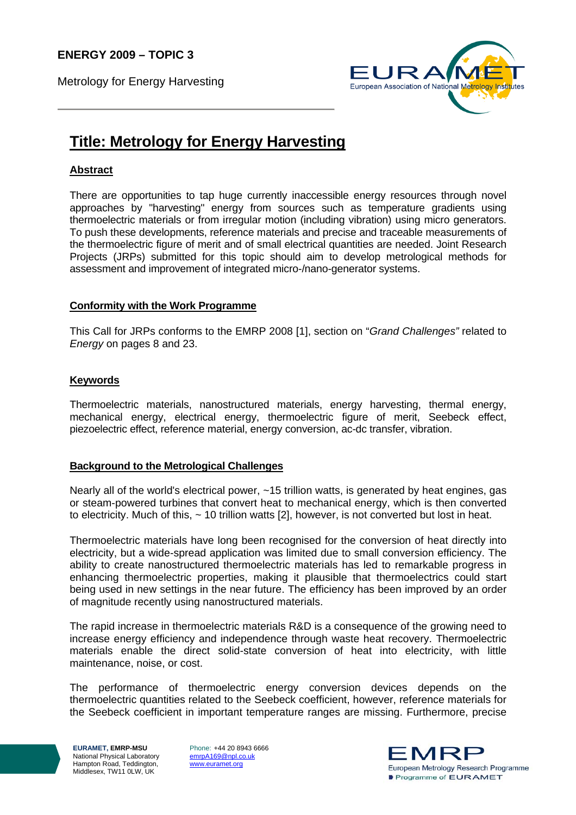Metrology for Energy Harvesting



# **Title: Metrology for Energy Harvesting**

# **Abstract**

There are opportunities to tap huge currently inaccessible energy resources through novel approaches by "harvesting" energy from sources such as temperature gradients using thermoelectric materials or from irregular motion (including vibration) using micro generators. To push these developments, reference materials and precise and traceable measurements of the thermoelectric figure of merit and of small electrical quantities are needed. Joint Research Projects (JRPs) submitted for this topic should aim to develop metrological methods for assessment and improvement of integrated micro-/nano-generator systems.

#### **Conformity with the Work Programme**

This Call for JRPs conforms to the EMRP 2008 [1], section on "*Grand Challenges"* related to *Energy* on pages 8 and 23.

## **Keywords**

Thermoelectric materials, nanostructured materials, energy harvesting, thermal energy, mechanical energy, electrical energy, thermoelectric figure of merit, Seebeck effect, piezoelectric effect, reference material, energy conversion, ac-dc transfer, vibration.

## **Background to the Metrological Challenges**

Nearly all of the world's electrical power, ~15 trillion watts, is generated by heat engines, gas or steam-powered turbines that convert heat to mechanical energy, which is then converted to electricity. Much of this, ~ 10 trillion watts [2], however, is not converted but lost in heat.

Thermoelectric materials have long been recognised for the conversion of heat directly into electricity, but a wide-spread application was limited due to small conversion efficiency. The ability to create nanostructured thermoelectric materials has led to remarkable progress in enhancing thermoelectric properties, making it plausible that thermoelectrics could start being used in new settings in the near future. The efficiency has been improved by an order of magnitude recently using nanostructured materials.

The rapid increase in thermoelectric materials R&D is a consequence of the growing need to increase energy efficiency and independence through waste heat recovery. Thermoelectric materials enable the direct solid-state conversion of heat into electricity, with little maintenance, noise, or cost.

The performance of thermoelectric energy conversion devices depends on the thermoelectric quantities related to the Seebeck coefficient, however, reference materials for the Seebeck coefficient in important temperature ranges are missing. Furthermore, precise

**EURAMET, EMRP-MSU**  National Physical Laboratory Hampton Road, Teddington, Middlesex, TW11 0LW, UK

Phone: +44 20 8943 6666 emrpA169@npl.co.uk www.euramet.org

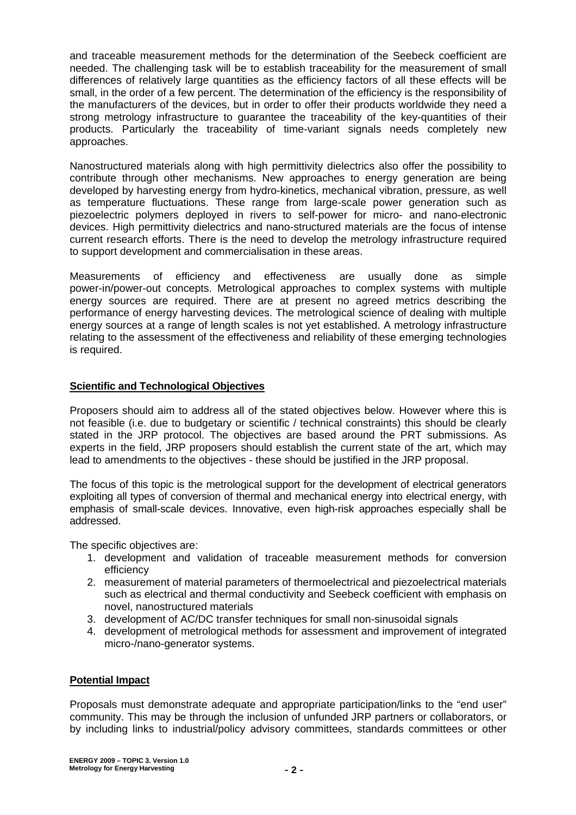and traceable measurement methods for the determination of the Seebeck coefficient are needed. The challenging task will be to establish traceability for the measurement of small differences of relatively large quantities as the efficiency factors of all these effects will be small, in the order of a few percent. The determination of the efficiency is the responsibility of the manufacturers of the devices, but in order to offer their products worldwide they need a strong metrology infrastructure to guarantee the traceability of the key-quantities of their products. Particularly the traceability of time-variant signals needs completely new approaches.

Nanostructured materials along with high permittivity dielectrics also offer the possibility to contribute through other mechanisms. New approaches to energy generation are being developed by harvesting energy from hydro-kinetics, mechanical vibration, pressure, as well as temperature fluctuations. These range from large-scale power generation such as piezoelectric polymers deployed in rivers to self-power for micro- and nano-electronic devices. High permittivity dielectrics and nano-structured materials are the focus of intense current research efforts. There is the need to develop the metrology infrastructure required to support development and commercialisation in these areas.

Measurements of efficiency and effectiveness are usually done as simple power-in/power-out concepts. Metrological approaches to complex systems with multiple energy sources are required. There are at present no agreed metrics describing the performance of energy harvesting devices. The metrological science of dealing with multiple energy sources at a range of length scales is not yet established. A metrology infrastructure relating to the assessment of the effectiveness and reliability of these emerging technologies is required.

## **Scientific and Technological Objectives**

Proposers should aim to address all of the stated objectives below. However where this is not feasible (i.e. due to budgetary or scientific / technical constraints) this should be clearly stated in the JRP protocol. The objectives are based around the PRT submissions. As experts in the field, JRP proposers should establish the current state of the art, which may lead to amendments to the objectives - these should be justified in the JRP proposal.

The focus of this topic is the metrological support for the development of electrical generators exploiting all types of conversion of thermal and mechanical energy into electrical energy, with emphasis of small-scale devices. Innovative, even high-risk approaches especially shall be addressed.

The specific objectives are:

- 1. development and validation of traceable measurement methods for conversion efficiency
- 2. measurement of material parameters of thermoelectrical and piezoelectrical materials such as electrical and thermal conductivity and Seebeck coefficient with emphasis on novel, nanostructured materials
- 3. development of AC/DC transfer techniques for small non-sinusoidal signals
- 4. development of metrological methods for assessment and improvement of integrated micro-/nano-generator systems.

## **Potential Impact**

Proposals must demonstrate adequate and appropriate participation/links to the "end user" community. This may be through the inclusion of unfunded JRP partners or collaborators, or by including links to industrial/policy advisory committees, standards committees or other